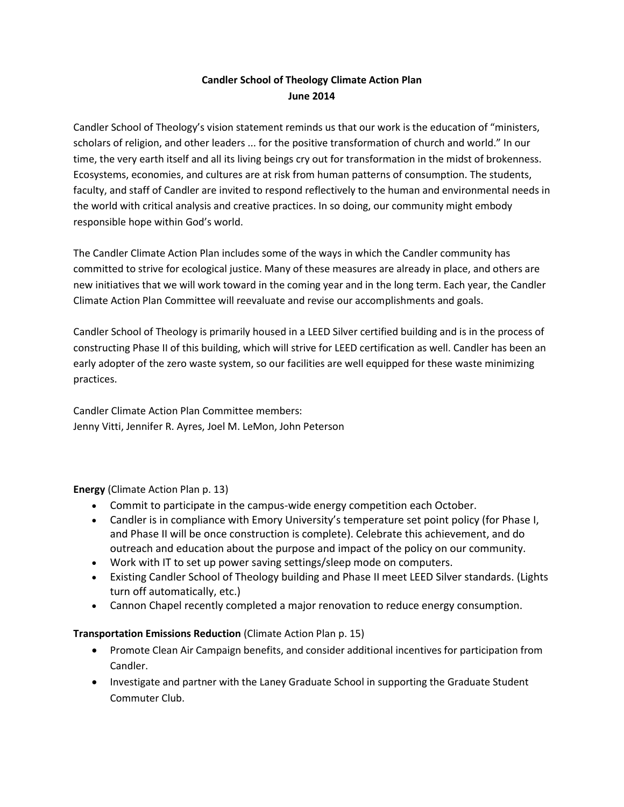# **Candler School of Theology Climate Action Plan June 2014**

Candler School of Theology's vision statement reminds us that our work is the education of "ministers, scholars of religion, and other leaders ... for the positive transformation of church and world." In our time, the very earth itself and all its living beings cry out for transformation in the midst of brokenness. Ecosystems, economies, and cultures are at risk from human patterns of consumption. The students, faculty, and staff of Candler are invited to respond reflectively to the human and environmental needs in the world with critical analysis and creative practices. In so doing, our community might embody responsible hope within God's world.

The Candler Climate Action Plan includes some of the ways in which the Candler community has committed to strive for ecological justice. Many of these measures are already in place, and others are new initiatives that we will work toward in the coming year and in the long term. Each year, the Candler Climate Action Plan Committee will reevaluate and revise our accomplishments and goals.

Candler School of Theology is primarily housed in a LEED Silver certified building and is in the process of constructing Phase II of this building, which will strive for LEED certification as well. Candler has been an early adopter of the zero waste system, so our facilities are well equipped for these waste minimizing practices.

Candler Climate Action Plan Committee members: Jenny Vitti, Jennifer R. Ayres, Joel M. LeMon, John Peterson

# **Energy** (Climate Action Plan p. 13)

- Commit to participate in the campus-wide energy competition each October.
- Candler is in compliance with Emory University's temperature set point policy (for Phase I, and Phase II will be once construction is complete). Celebrate this achievement, and do outreach and education about the purpose and impact of the policy on our community.
- Work with IT to set up power saving settings/sleep mode on computers.
- Existing Candler School of Theology building and Phase II meet LEED Silver standards. (Lights turn off automatically, etc.)
- Cannon Chapel recently completed a major renovation to reduce energy consumption.

#### **Transportation Emissions Reduction** (Climate Action Plan p. 15)

- Promote Clean Air Campaign benefits, and consider additional incentives for participation from Candler.
- Investigate and partner with the Laney Graduate School in supporting the Graduate Student Commuter Club.